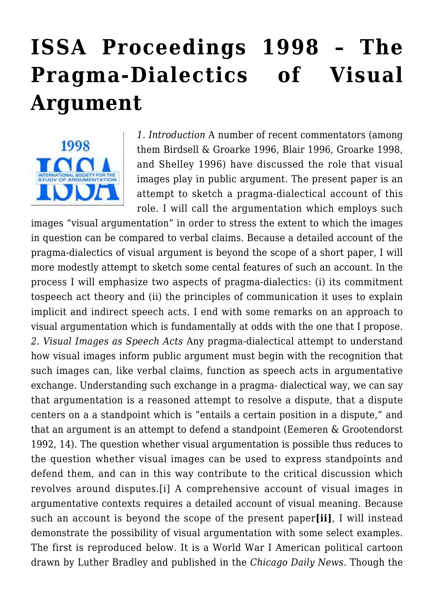## **[ISSA Proceedings 1998 – The](https://rozenbergquarterly.com/issa-proceedings-1998-the-pragma-dialectics-of-visual-argument/) [Pragma-Dialectics of Visual](https://rozenbergquarterly.com/issa-proceedings-1998-the-pragma-dialectics-of-visual-argument/) [Argument](https://rozenbergquarterly.com/issa-proceedings-1998-the-pragma-dialectics-of-visual-argument/)**



*1. Introduction* A number of recent commentators (among them Birdsell & Groarke 1996, Blair 1996, Groarke 1998, and Shelley 1996) have discussed the role that visual images play in public argument. The present paper is an attempt to sketch a pragma-dialectical account of this role. I will call the argumentation which employs such

images "visual argumentation" in order to stress the extent to which the images in question can be compared to verbal claims. Because a detailed account of the pragma-dialectics of visual argument is beyond the scope of a short paper, I will more modestly attempt to sketch some cental features of such an account. In the process I will emphasize two aspects of pragma-dialectics: (i) its commitment tospeech act theory and (ii) the principles of communication it uses to explain implicit and indirect speech acts. I end with some remarks on an approach to visual argumentation which is fundamentally at odds with the one that I propose. *2. Visual Images as Speech Acts* Any pragma-dialectical attempt to understand how visual images inform public argument must begin with the recognition that such images can, like verbal claims, function as speech acts in argumentative exchange. Understanding such exchange in a pragma- dialectical way, we can say that argumentation is a reasoned attempt to resolve a dispute, that a dispute centers on a a standpoint which is "entails a certain position in a dispute," and that an argument is an attempt to defend a standpoint (Eemeren & Grootendorst 1992, 14). The question whether visual argumentation is possible thus reduces to the question whether visual images can be used to express standpoints and defend them, and can in this way contribute to the critical discussion which revolves around disputes.[i] A comprehensive account of visual images in argumentative contexts requires a detailed account of visual meaning. Because such an account is beyond the scope of the present paper**[ii]**, I will instead demonstrate the possibility of visual argumentation with some select examples. The first is reproduced below. It is a World War I American political cartoon drawn by Luther Bradley and published in the *Chicago Daily News*. Though the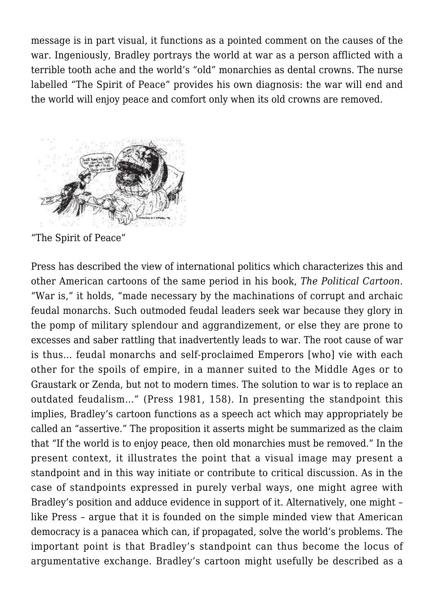message is in part visual, it functions as a pointed comment on the causes of the war. Ingeniously, Bradley portrays the world at war as a person afflicted with a terrible tooth ache and the world's "old" monarchies as dental crowns. The nurse labelled "The Spirit of Peace" provides his own diagnosis: the war will end and the world will enjoy peace and comfort only when its old crowns are removed.



"The Spirit of Peace"

Press has described the view of international politics which characterizes this and other American cartoons of the same period in his book, *The Political Cartoon*. "War is," it holds, "made necessary by the machinations of corrupt and archaic feudal monarchs. Such outmoded feudal leaders seek war because they glory in the pomp of military splendour and aggrandizement, or else they are prone to excesses and saber rattling that inadvertently leads to war. The root cause of war is thus… feudal monarchs and self-proclaimed Emperors [who] vie with each other for the spoils of empire, in a manner suited to the Middle Ages or to Graustark or Zenda, but not to modern times. The solution to war is to replace an outdated feudalism…" (Press 1981, 158). In presenting the standpoint this implies, Bradley's cartoon functions as a speech act which may appropriately be called an "assertive." The proposition it asserts might be summarized as the claim that "If the world is to enjoy peace, then old monarchies must be removed." In the present context, it illustrates the point that a visual image may present a standpoint and in this way initiate or contribute to critical discussion. As in the case of standpoints expressed in purely verbal ways, one might agree with Bradley's position and adduce evidence in support of it. Alternatively, one might – like Press – argue that it is founded on the simple minded view that American democracy is a panacea which can, if propagated, solve the world's problems. The important point is that Bradley's standpoint can thus become the locus of argumentative exchange. Bradley's cartoon might usefully be described as a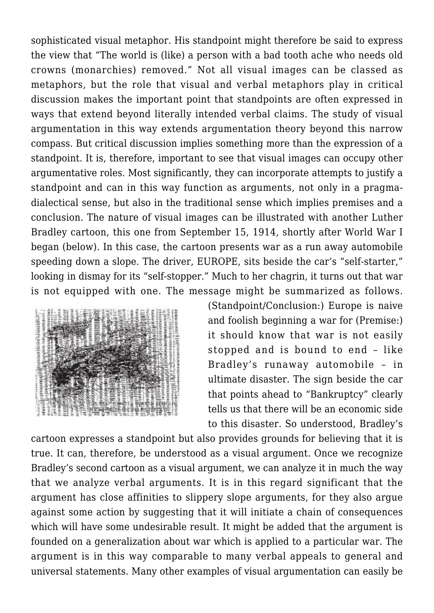sophisticated visual metaphor. His standpoint might therefore be said to express the view that "The world is (like) a person with a bad tooth ache who needs old crowns (monarchies) removed." Not all visual images can be classed as metaphors, but the role that visual and verbal metaphors play in critical discussion makes the important point that standpoints are often expressed in ways that extend beyond literally intended verbal claims. The study of visual argumentation in this way extends argumentation theory beyond this narrow compass. But critical discussion implies something more than the expression of a standpoint. It is, therefore, important to see that visual images can occupy other argumentative roles. Most significantly, they can incorporate attempts to justify a standpoint and can in this way function as arguments, not only in a pragmadialectical sense, but also in the traditional sense which implies premises and a conclusion. The nature of visual images can be illustrated with another Luther Bradley cartoon, this one from September 15, 1914, shortly after World War I began (below). In this case, the cartoon presents war as a run away automobile speeding down a slope. The driver, EUROPE, sits beside the car's "self-starter," looking in dismay for its "self-stopper." Much to her chagrin, it turns out that war is not equipped with one. The message might be summarized as follows.



(Standpoint/Conclusion:) Europe is naive and foolish beginning a war for (Premise:) it should know that war is not easily stopped and is bound to end – like Bradley's runaway automobile – in ultimate disaster. The sign beside the car that points ahead to "Bankruptcy" clearly tells us that there will be an economic side to this disaster. So understood, Bradley's

cartoon expresses a standpoint but also provides grounds for believing that it is true. It can, therefore, be understood as a visual argument. Once we recognize Bradley's second cartoon as a visual argument, we can analyze it in much the way that we analyze verbal arguments. It is in this regard significant that the argument has close affinities to slippery slope arguments, for they also argue against some action by suggesting that it will initiate a chain of consequences which will have some undesirable result. It might be added that the argument is founded on a generalization about war which is applied to a particular war. The argument is in this way comparable to many verbal appeals to general and universal statements. Many other examples of visual argumentation can easily be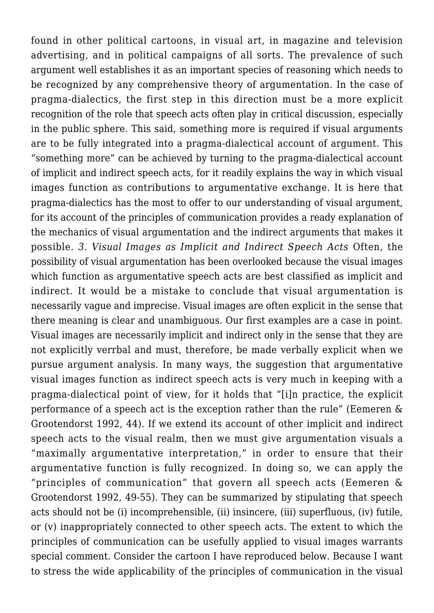found in other political cartoons, in visual art, in magazine and television advertising, and in political campaigns of all sorts. The prevalence of such argument well establishes it as an important species of reasoning which needs to be recognized by any comprehensive theory of argumentation. In the case of pragma-dialectics, the first step in this direction must be a more explicit recognition of the role that speech acts often play in critical discussion, especially in the public sphere. This said, something more is required if visual arguments are to be fully integrated into a pragma-dialectical account of argument. This "something more" can be achieved by turning to the pragma-dialectical account of implicit and indirect speech acts, for it readily explains the way in which visual images function as contributions to argumentative exchange. It is here that pragma-dialectics has the most to offer to our understanding of visual argument, for its account of the principles of communication provides a ready explanation of the mechanics of visual argumentation and the indirect arguments that makes it possible. *3. Visual Images as Implicit and Indirect Speech Acts* Often, the possibility of visual argumentation has been overlooked because the visual images which function as argumentative speech acts are best classified as implicit and indirect. It would be a mistake to conclude that visual argumentation is necessarily vague and imprecise. Visual images are often explicit in the sense that there meaning is clear and unambiguous. Our first examples are a case in point. Visual images are necessarily implicit and indirect only in the sense that they are not explicitly verrbal and must, therefore, be made verbally explicit when we pursue argument analysis. In many ways, the suggestion that argumentative visual images function as indirect speech acts is very much in keeping with a pragma-dialectical point of view, for it holds that "[i]n practice, the explicit performance of a speech act is the exception rather than the rule" (Eemeren & Grootendorst 1992, 44). If we extend its account of other implicit and indirect speech acts to the visual realm, then we must give argumentation visuals a "maximally argumentative interpretation," in order to ensure that their argumentative function is fully recognized. In doing so, we can apply the "principles of communication" that govern all speech acts (Eemeren & Grootendorst 1992, 49-55). They can be summarized by stipulating that speech acts should not be (i) incomprehensible, (ii) insincere, (iii) superfluous, (iv) futile, or (v) inappropriately connected to other speech acts. The extent to which the principles of communication can be usefully applied to visual images warrants special comment. Consider the cartoon I have reproduced below. Because I want to stress the wide applicability of the principles of communication in the visual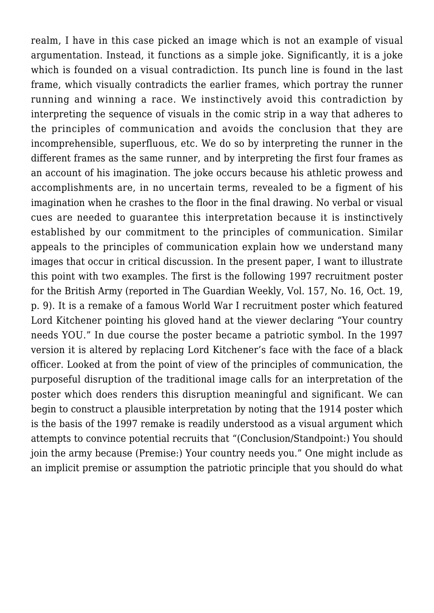realm, I have in this case picked an image which is not an example of visual argumentation. Instead, it functions as a simple joke. Significantly, it is a joke which is founded on a visual contradiction. Its punch line is found in the last frame, which visually contradicts the earlier frames, which portray the runner running and winning a race. We instinctively avoid this contradiction by interpreting the sequence of visuals in the comic strip in a way that adheres to the principles of communication and avoids the conclusion that they are incomprehensible, superfluous, etc. We do so by interpreting the runner in the different frames as the same runner, and by interpreting the first four frames as an account of his imagination. The joke occurs because his athletic prowess and accomplishments are, in no uncertain terms, revealed to be a figment of his imagination when he crashes to the floor in the final drawing. No verbal or visual cues are needed to guarantee this interpretation because it is instinctively established by our commitment to the principles of communication. Similar appeals to the principles of communication explain how we understand many images that occur in critical discussion. In the present paper, I want to illustrate this point with two examples. The first is the following 1997 recruitment poster for the British Army (reported in The Guardian Weekly, Vol. 157, No. 16, Oct. 19, p. 9). It is a remake of a famous World War I recruitment poster which featured Lord Kitchener pointing his gloved hand at the viewer declaring "Your country needs YOU." In due course the poster became a patriotic symbol. In the 1997 version it is altered by replacing Lord Kitchener's face with the face of a black officer. Looked at from the point of view of the principles of communication, the purposeful disruption of the traditional image calls for an interpretation of the poster which does renders this disruption meaningful and significant. We can begin to construct a plausible interpretation by noting that the 1914 poster which is the basis of the 1997 remake is readily understood as a visual argument which attempts to convince potential recruits that "(Conclusion/Standpoint:) You should join the army because (Premise:) Your country needs you." One might include as an implicit premise or assumption the patriotic principle that you should do what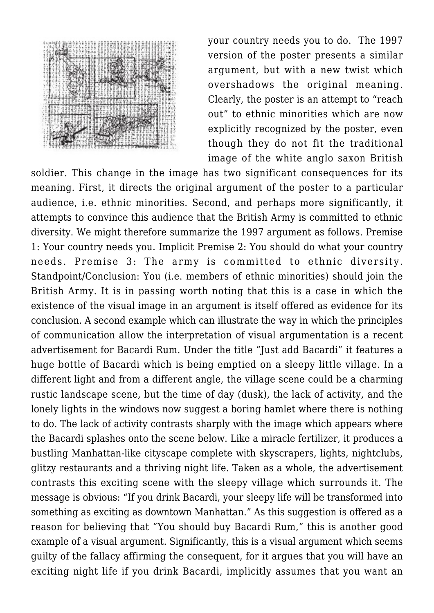

your country needs you to do. The 1997 version of the poster presents a similar argument, but with a new twist which overshadows the original meaning. Clearly, the poster is an attempt to "reach out" to ethnic minorities which are now explicitly recognized by the poster, even though they do not fit the traditional image of the white anglo saxon British

soldier. This change in the image has two significant consequences for its meaning. First, it directs the original argument of the poster to a particular audience, i.e. ethnic minorities. Second, and perhaps more significantly, it attempts to convince this audience that the British Army is committed to ethnic diversity. We might therefore summarize the 1997 argument as follows. Premise 1: Your country needs you. Implicit Premise 2: You should do what your country needs. Premise 3: The army is committed to ethnic diversity. Standpoint/Conclusion: You (i.e. members of ethnic minorities) should join the British Army. It is in passing worth noting that this is a case in which the existence of the visual image in an argument is itself offered as evidence for its conclusion. A second example which can illustrate the way in which the principles of communication allow the interpretation of visual argumentation is a recent advertisement for Bacardi Rum. Under the title "Just add Bacardi" it features a huge bottle of Bacardi which is being emptied on a sleepy little village. In a different light and from a different angle, the village scene could be a charming rustic landscape scene, but the time of day (dusk), the lack of activity, and the lonely lights in the windows now suggest a boring hamlet where there is nothing to do. The lack of activity contrasts sharply with the image which appears where the Bacardi splashes onto the scene below. Like a miracle fertilizer, it produces a bustling Manhattan-like cityscape complete with skyscrapers, lights, nightclubs, glitzy restaurants and a thriving night life. Taken as a whole, the advertisement contrasts this exciting scene with the sleepy village which surrounds it. The message is obvious: "If you drink Bacardi, your sleepy life will be transformed into something as exciting as downtown Manhattan." As this suggestion is offered as a reason for believing that "You should buy Bacardi Rum," this is another good example of a visual argument. Significantly, this is a visual argument which seems guilty of the fallacy affirming the consequent, for it argues that you will have an exciting night life if you drink Bacardi, implicitly assumes that you want an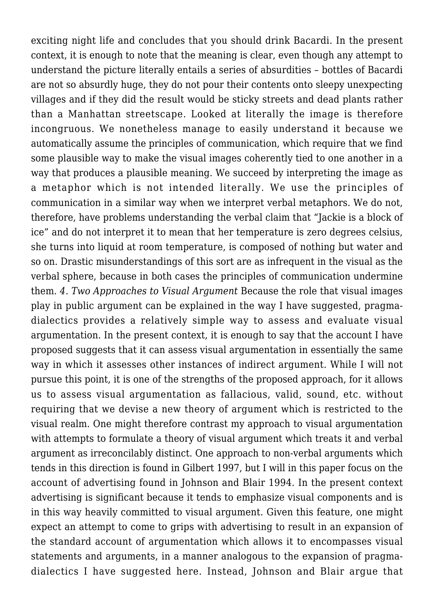exciting night life and concludes that you should drink Bacardi. In the present context, it is enough to note that the meaning is clear, even though any attempt to understand the picture literally entails a series of absurdities – bottles of Bacardi are not so absurdly huge, they do not pour their contents onto sleepy unexpecting villages and if they did the result would be sticky streets and dead plants rather than a Manhattan streetscape. Looked at literally the image is therefore incongruous. We nonetheless manage to easily understand it because we automatically assume the principles of communication, which require that we find some plausible way to make the visual images coherently tied to one another in a way that produces a plausible meaning. We succeed by interpreting the image as a metaphor which is not intended literally. We use the principles of communication in a similar way when we interpret verbal metaphors. We do not, therefore, have problems understanding the verbal claim that "Jackie is a block of ice" and do not interpret it to mean that her temperature is zero degrees celsius, she turns into liquid at room temperature, is composed of nothing but water and so on. Drastic misunderstandings of this sort are as infrequent in the visual as the verbal sphere, because in both cases the principles of communication undermine them. *4. Two Approaches to Visual Argument* Because the role that visual images play in public argument can be explained in the way I have suggested, pragmadialectics provides a relatively simple way to assess and evaluate visual argumentation. In the present context, it is enough to say that the account I have proposed suggests that it can assess visual argumentation in essentially the same way in which it assesses other instances of indirect argument. While I will not pursue this point, it is one of the strengths of the proposed approach, for it allows us to assess visual argumentation as fallacious, valid, sound, etc. without requiring that we devise a new theory of argument which is restricted to the visual realm. One might therefore contrast my approach to visual argumentation with attempts to formulate a theory of visual argument which treats it and verbal argument as irreconcilably distinct. One approach to non-verbal arguments which tends in this direction is found in Gilbert 1997, but I will in this paper focus on the account of advertising found in Johnson and Blair 1994. In the present context advertising is significant because it tends to emphasize visual components and is in this way heavily committed to visual argument. Given this feature, one might expect an attempt to come to grips with advertising to result in an expansion of the standard account of argumentation which allows it to encompasses visual statements and arguments, in a manner analogous to the expansion of pragmadialectics I have suggested here. Instead, Johnson and Blair argue that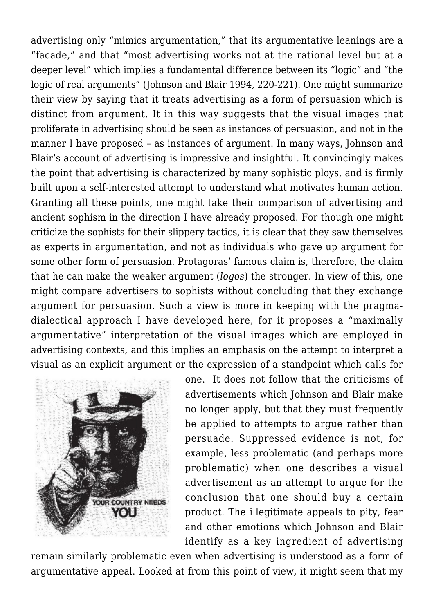advertising only "mimics argumentation," that its argumentative leanings are a "facade," and that "most advertising works not at the rational level but at a deeper level" which implies a fundamental difference between its "logic" and "the logic of real arguments" (Johnson and Blair 1994, 220-221). One might summarize their view by saying that it treats advertising as a form of persuasion which is distinct from argument. It in this way suggests that the visual images that proliferate in advertising should be seen as instances of persuasion, and not in the manner I have proposed – as instances of argument. In many ways, Johnson and Blair's account of advertising is impressive and insightful. It convincingly makes the point that advertising is characterized by many sophistic ploys, and is firmly built upon a self-interested attempt to understand what motivates human action. Granting all these points, one might take their comparison of advertising and ancient sophism in the direction I have already proposed. For though one might criticize the sophists for their slippery tactics, it is clear that they saw themselves as experts in argumentation, and not as individuals who gave up argument for some other form of persuasion. Protagoras' famous claim is, therefore, the claim that he can make the weaker argument (*logos*) the stronger. In view of this, one might compare advertisers to sophists without concluding that they exchange argument for persuasion. Such a view is more in keeping with the pragmadialectical approach I have developed here, for it proposes a "maximally argumentative" interpretation of the visual images which are employed in advertising contexts, and this implies an emphasis on the attempt to interpret a visual as an explicit argument or the expression of a standpoint which calls for



one. It does not follow that the criticisms of advertisements which Johnson and Blair make no longer apply, but that they must frequently be applied to attempts to argue rather than persuade. Suppressed evidence is not, for example, less problematic (and perhaps more problematic) when one describes a visual advertisement as an attempt to argue for the conclusion that one should buy a certain product. The illegitimate appeals to pity, fear and other emotions which Johnson and Blair identify as a key ingredient of advertising

remain similarly problematic even when advertising is understood as a form of argumentative appeal. Looked at from this point of view, it might seem that my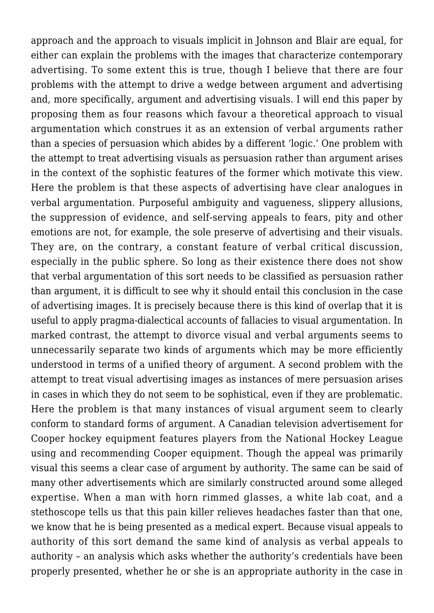approach and the approach to visuals implicit in Johnson and Blair are equal, for either can explain the problems with the images that characterize contemporary advertising. To some extent this is true, though I believe that there are four problems with the attempt to drive a wedge between argument and advertising and, more specifically, argument and advertising visuals. I will end this paper by proposing them as four reasons which favour a theoretical approach to visual argumentation which construes it as an extension of verbal arguments rather than a species of persuasion which abides by a different 'logic.' One problem with the attempt to treat advertising visuals as persuasion rather than argument arises in the context of the sophistic features of the former which motivate this view. Here the problem is that these aspects of advertising have clear analogues in verbal argumentation. Purposeful ambiguity and vagueness, slippery allusions, the suppression of evidence, and self-serving appeals to fears, pity and other emotions are not, for example, the sole preserve of advertising and their visuals. They are, on the contrary, a constant feature of verbal critical discussion, especially in the public sphere. So long as their existence there does not show that verbal argumentation of this sort needs to be classified as persuasion rather than argument, it is difficult to see why it should entail this conclusion in the case of advertising images. It is precisely because there is this kind of overlap that it is useful to apply pragma-dialectical accounts of fallacies to visual argumentation. In marked contrast, the attempt to divorce visual and verbal arguments seems to unnecessarily separate two kinds of arguments which may be more efficiently understood in terms of a unified theory of argument. A second problem with the attempt to treat visual advertising images as instances of mere persuasion arises in cases in which they do not seem to be sophistical, even if they are problematic. Here the problem is that many instances of visual argument seem to clearly conform to standard forms of argument. A Canadian television advertisement for Cooper hockey equipment features players from the National Hockey League using and recommending Cooper equipment. Though the appeal was primarily visual this seems a clear case of argument by authority. The same can be said of many other advertisements which are similarly constructed around some alleged expertise. When a man with horn rimmed glasses, a white lab coat, and a stethoscope tells us that this pain killer relieves headaches faster than that one, we know that he is being presented as a medical expert. Because visual appeals to authority of this sort demand the same kind of analysis as verbal appeals to authority – an analysis which asks whether the authority's credentials have been properly presented, whether he or she is an appropriate authority in the case in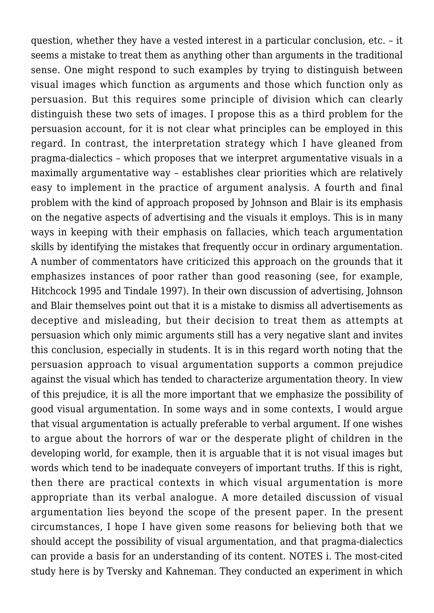question, whether they have a vested interest in a particular conclusion, etc. – it seems a mistake to treat them as anything other than arguments in the traditional sense. One might respond to such examples by trying to distinguish between visual images which function as arguments and those which function only as persuasion. But this requires some principle of division which can clearly distinguish these two sets of images. I propose this as a third problem for the persuasion account, for it is not clear what principles can be employed in this regard. In contrast, the interpretation strategy which I have gleaned from pragma-dialectics – which proposes that we interpret argumentative visuals in a maximally argumentative way – establishes clear priorities which are relatively easy to implement in the practice of argument analysis. A fourth and final problem with the kind of approach proposed by Johnson and Blair is its emphasis on the negative aspects of advertising and the visuals it employs. This is in many ways in keeping with their emphasis on fallacies, which teach argumentation skills by identifying the mistakes that frequently occur in ordinary argumentation. A number of commentators have criticized this approach on the grounds that it emphasizes instances of poor rather than good reasoning (see, for example, Hitchcock 1995 and Tindale 1997). In their own discussion of advertising, Johnson and Blair themselves point out that it is a mistake to dismiss all advertisements as deceptive and misleading, but their decision to treat them as attempts at persuasion which only mimic arguments still has a very negative slant and invites this conclusion, especially in students. It is in this regard worth noting that the persuasion approach to visual argumentation supports a common prejudice against the visual which has tended to characterize argumentation theory. In view of this prejudice, it is all the more important that we emphasize the possibility of good visual argumentation. In some ways and in some contexts, I would argue that visual argumentation is actually preferable to verbal argument. If one wishes to argue about the horrors of war or the desperate plight of children in the developing world, for example, then it is arguable that it is not visual images but words which tend to be inadequate conveyers of important truths. If this is right, then there are practical contexts in which visual argumentation is more appropriate than its verbal analogue. A more detailed discussion of visual argumentation lies beyond the scope of the present paper. In the present circumstances, I hope I have given some reasons for believing both that we should accept the possibility of visual argumentation, and that pragma-dialectics can provide a basis for an understanding of its content. NOTES i. The most-cited study here is by Tversky and Kahneman. They conducted an experiment in which